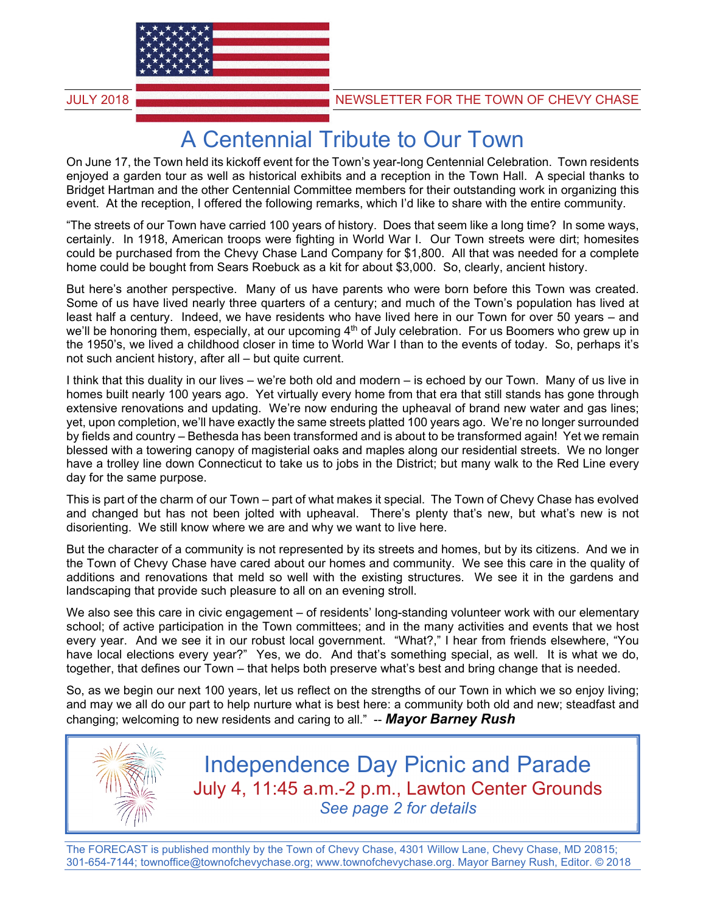

JULY 2018 NEWSLETTER FOR THE TOWN OF CHEVY CHASE

# A Centennial Tribute to Our Town

On June 17, the Town held its kickoff event for the Town's year-long Centennial Celebration. Town residents enjoyed a garden tour as well as historical exhibits and a reception in the Town Hall. A special thanks to Bridget Hartman and the other Centennial Committee members for their outstanding work in organizing this event. At the reception, I offered the following remarks, which I'd like to share with the entire community.

"The streets of our Town have carried 100 years of history. Does that seem like a long time? In some ways, certainly. In 1918, American troops were fighting in World War I. Our Town streets were dirt; homesites could be purchased from the Chevy Chase Land Company for \$1,800. All that was needed for a complete home could be bought from Sears Roebuck as a kit for about \$3,000. So, clearly, ancient history.

But here's another perspective. Many of us have parents who were born before this Town was created. Some of us have lived nearly three quarters of a century; and much of the Town's population has lived at least half a century. Indeed, we have residents who have lived here in our Town for over 50 years – and we'll be honoring them, especially, at our upcoming 4<sup>th</sup> of July celebration. For us Boomers who grew up in the 1950's, we lived a childhood closer in time to World War I than to the events of today. So, perhaps it's not such ancient history, after all – but quite current.

I think that this duality in our lives – we're both old and modern – is echoed by our Town. Many of us live in homes built nearly 100 years ago. Yet virtually every home from that era that still stands has gone through extensive renovations and updating. We're now enduring the upheaval of brand new water and gas lines; yet, upon completion, we'll have exactly the same streets platted 100 years ago. We're no longer surrounded by fields and country – Bethesda has been transformed and is about to be transformed again! Yet we remain blessed with a towering canopy of magisterial oaks and maples along our residential streets. We no longer have a trolley line down Connecticut to take us to jobs in the District; but many walk to the Red Line every day for the same purpose.

This is part of the charm of our Town – part of what makes it special. The Town of Chevy Chase has evolved and changed but has not been jolted with upheaval. There's plenty that's new, but what's new is not disorienting. We still know where we are and why we want to live here.

But the character of a community is not represented by its streets and homes, but by its citizens. And we in the Town of Chevy Chase have cared about our homes and community. We see this care in the quality of additions and renovations that meld so well with the existing structures. We see it in the gardens and landscaping that provide such pleasure to all on an evening stroll.

We also see this care in civic engagement – of residents' long-standing volunteer work with our elementary school; of active participation in the Town committees; and in the many activities and events that we host every year. And we see it in our robust local government. "What?," I hear from friends elsewhere, "You have local elections every year?" Yes, we do. And that's something special, as well. It is what we do, together, that defines our Town – that helps both preserve what's best and bring change that is needed.

So, as we begin our next 100 years, let us reflect on the strengths of our Town in which we so enjoy living; and may we all do our part to help nurture what is best here: a community both old and new; steadfast and changing; welcoming to new residents and caring to all." -- *Mayor Barney Rush*



Independence Day Picnic and Parade July 4, 11:45 a.m.-2 p.m., Lawton Center Grounds *See page 2 for details*

The FORECAST is published monthly by the Town of Chevy Chase, 4301 Willow Lane, Chevy Chase, MD 20815; 301-654-7144; townoffice@townofchevychase.org; www.townofchevychase.org. Mayor Barney Rush, Editor. © 2018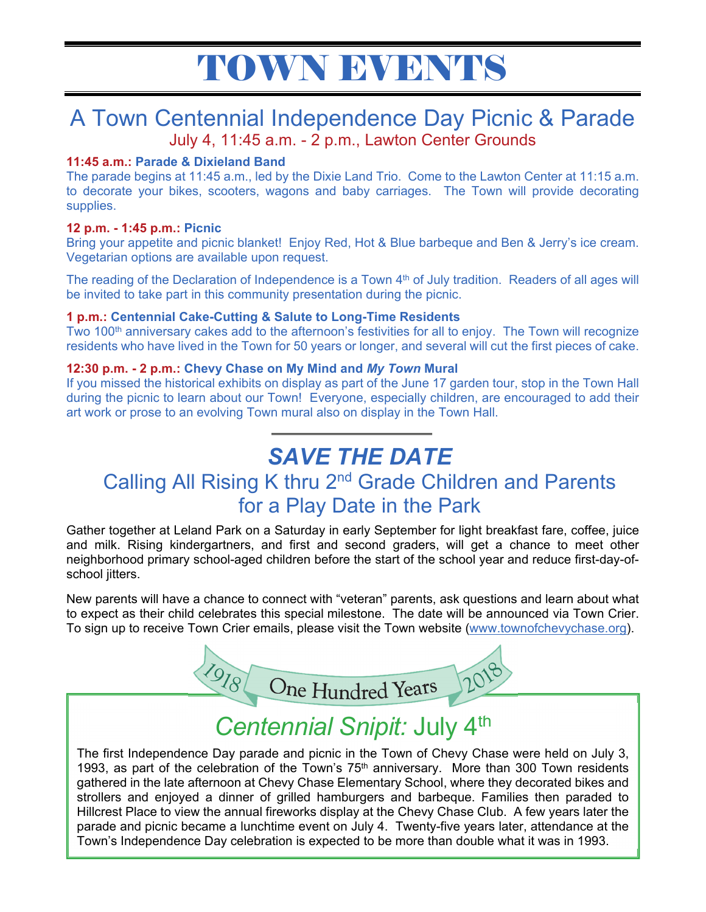# TOWN EVENTS

## A Town Centennial Independence Day Picnic & Parade July 4, 11:45 a.m. - 2 p.m., Lawton Center Grounds

#### **11:45 a.m.: Parade & Dixieland Band**

The parade begins at 11:45 a.m., led by the Dixie Land Trio. Come to the Lawton Center at 11:15 a.m. to decorate your bikes, scooters, wagons and baby carriages. The Town will provide decorating supplies.

#### **12 p.m. - 1:45 p.m.: Picnic**

Bring your appetite and picnic blanket! Enjoy Red, Hot & Blue barbeque and Ben & Jerry's ice cream. Vegetarian options are available upon request.

The reading of the Declaration of Independence is a Town 4<sup>th</sup> of July tradition. Readers of all ages will be invited to take part in this community presentation during the picnic.

#### **1 p.m.: Centennial Cake-Cutting & Salute to Long-Time Residents**

Two 100<sup>th</sup> anniversary cakes add to the afternoon's festivities for all to enjoy. The Town will recognize residents who have lived in the Town for 50 years or longer, and several will cut the first pieces of cake.

#### **12:30 p.m. - 2 p.m.: Chevy Chase on My Mind and** *My Town* **Mural**

If you missed the historical exhibits on display as part of the June 17 garden tour, stop in the Town Hall during the picnic to learn about our Town! Everyone, especially children, are encouraged to add their art work or prose to an evolving Town mural also on display in the Town Hall.

# *SAVE THE DATE*

## Calling All Rising K thru 2<sup>nd</sup> Grade Children and Parents for a Play Date in the Park

Gather together at Leland Park on a Saturday in early September for light breakfast fare, coffee, juice and milk. Rising kindergartners, and first and second graders, will get a chance to meet other neighborhood primary school-aged children before the start of the school year and reduce first-day-ofschool jitters.

New parents will have a chance to connect with "veteran" parents, ask questions and learn about what to expect as their child celebrates this special milestone. The date will be announced via Town Crier. To sign up to receive Town Crier emails, please visit the Town website (www.townofchevychase.org).



# *Centennial Snipit:* July 4<sup>th</sup>

The first Independence Day parade and picnic in the Town of Chevy Chase were held on July 3, 1993, as part of the celebration of the Town's  $75<sup>th</sup>$  anniversary. More than 300 Town residents gathered in the late afternoon at Chevy Chase Elementary School, where they decorated bikes and strollers and enjoyed a dinner of grilled hamburgers and barbeque. Families then paraded to Hillcrest Place to view the annual fireworks display at the Chevy Chase Club. A few years later the parade and picnic became a lunchtime event on July 4. Twenty-five years later, attendance at the Town's Independence Day celebration is expected to be more than double what it was in 1993.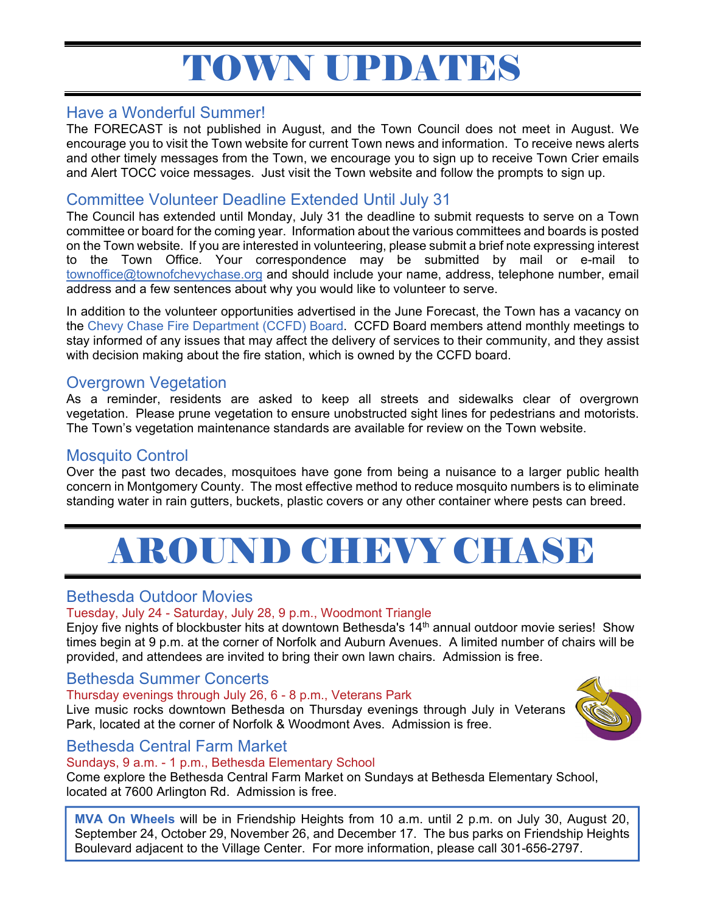# TOWN UPDATES

### Have a Wonderful Summer!

The FORECAST is not published in August, and the Town Council does not meet in August. We encourage you to visit the Town website for current Town news and information. To receive news alerts and other timely messages from the Town, we encourage you to sign up to receive Town Crier emails and Alert TOCC voice messages. Just visit the Town website and follow the prompts to sign up.

## Committee Volunteer Deadline Extended Until July 31

The Council has extended until Monday, July 31 the deadline to submit requests to serve on a Town committee or board for the coming year. Information about the various committees and boards is posted on the Town website. If you are interested in volunteering, please submit a brief note expressing interest to the Town Office. Your correspondence may be submitted by mail or e-mail to townoffice@townofchevychase.org and should include your name, address, telephone number, email address and a few sentences about why you would like to volunteer to serve.

In addition to the volunteer opportunities advertised in the June Forecast, the Town has a vacancy on the Chevy Chase Fire Department (CCFD) Board. CCFD Board members attend monthly meetings to stay informed of any issues that may affect the delivery of services to their community, and they assist with decision making about the fire station, which is owned by the CCFD board.

#### Overgrown Vegetation

As a reminder, residents are asked to keep all streets and sidewalks clear of overgrown vegetation. Please prune vegetation to ensure unobstructed sight lines for pedestrians and motorists. The Town's vegetation maintenance standards are available for review on the Town website.

### Mosquito Control

Over the past two decades, mosquitoes have gone from being a nuisance to a larger public health concern in Montgomery County. The most effective method to reduce mosquito numbers is to eliminate standing water in rain gutters, buckets, plastic covers or any other container where pests can breed.

# AROUND CHEVY CHASE

## Bethesda Outdoor Movies

#### Tuesday, July 24 - Saturday, July 28, 9 p.m., Woodmont Triangle

Enjoy five nights of blockbuster hits at downtown Bethesda's 14<sup>th</sup> annual outdoor movie series! Show times begin at 9 p.m. at the corner of Norfolk and Auburn Avenues. A limited number of chairs will be provided, and attendees are invited to bring their own lawn chairs. Admission is free.

### Bethesda Summer Concerts

Thursday evenings through July 26, 6 - 8 p.m., Veterans Park

Live music rocks downtown Bethesda on Thursday evenings through July in Veterans Park, located at the corner of Norfolk & Woodmont Aves. Admission is free.



## Bethesda Central Farm Market

#### Sundays, 9 a.m. - 1 p.m., Bethesda Elementary School

Come explore the Bethesda Central Farm Market on Sundays at Bethesda Elementary School, located at 7600 Arlington Rd. Admission is free.

**MVA On Wheels** will be in Friendship Heights from 10 a.m. until 2 p.m. on July 30, August 20, September 24, October 29, November 26, and December 17. The bus parks on Friendship Heights Boulevard adjacent to the Village Center. For more information, please call 301-656-2797.